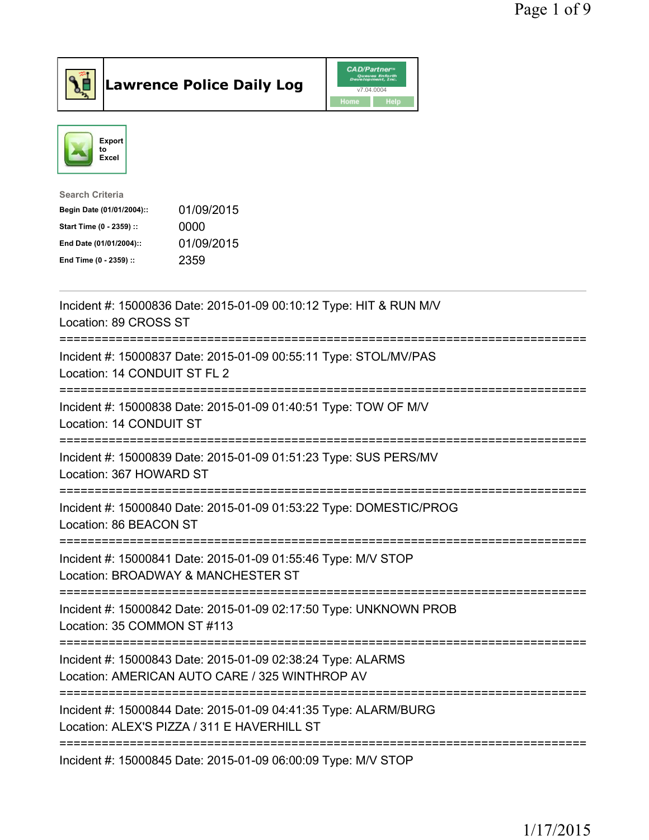



| <b>Search Criteria</b>    |            |
|---------------------------|------------|
| Begin Date (01/01/2004):: | 01/09/2015 |
| Start Time (0 - 2359) ::  | 0000       |
| End Date (01/01/2004)::   | 01/09/2015 |
| End Time (0 - 2359) ::    | 2359       |
|                           |            |

| Incident #: 15000836 Date: 2015-01-09 00:10:12 Type: HIT & RUN M/V<br>Location: 89 CROSS ST                                                              |
|----------------------------------------------------------------------------------------------------------------------------------------------------------|
| Incident #: 15000837 Date: 2015-01-09 00:55:11 Type: STOL/MV/PAS<br>Location: 14 CONDUIT ST FL 2<br>=====================                                |
| Incident #: 15000838 Date: 2015-01-09 01:40:51 Type: TOW OF M/V<br>Location: 14 CONDUIT ST                                                               |
| Incident #: 15000839 Date: 2015-01-09 01:51:23 Type: SUS PERS/MV<br>Location: 367 HOWARD ST                                                              |
| Incident #: 15000840 Date: 2015-01-09 01:53:22 Type: DOMESTIC/PROG<br>Location: 86 BEACON ST                                                             |
| Incident #: 15000841 Date: 2015-01-09 01:55:46 Type: M/V STOP<br>Location: BROADWAY & MANCHESTER ST                                                      |
| Incident #: 15000842 Date: 2015-01-09 02:17:50 Type: UNKNOWN PROB<br>Location: 35 COMMON ST #113                                                         |
| -----------------------<br>Incident #: 15000843 Date: 2015-01-09 02:38:24 Type: ALARMS<br>Location: AMERICAN AUTO CARE / 325 WINTHROP AV                 |
| --------------------------------------<br>Incident #: 15000844 Date: 2015-01-09 04:41:35 Type: ALARM/BURG<br>Location: ALEX'S PIZZA / 311 E HAVERHILL ST |
| Incident #: 15000845 Date: 2015-01-09 06:00:09 Type: M/V STOP                                                                                            |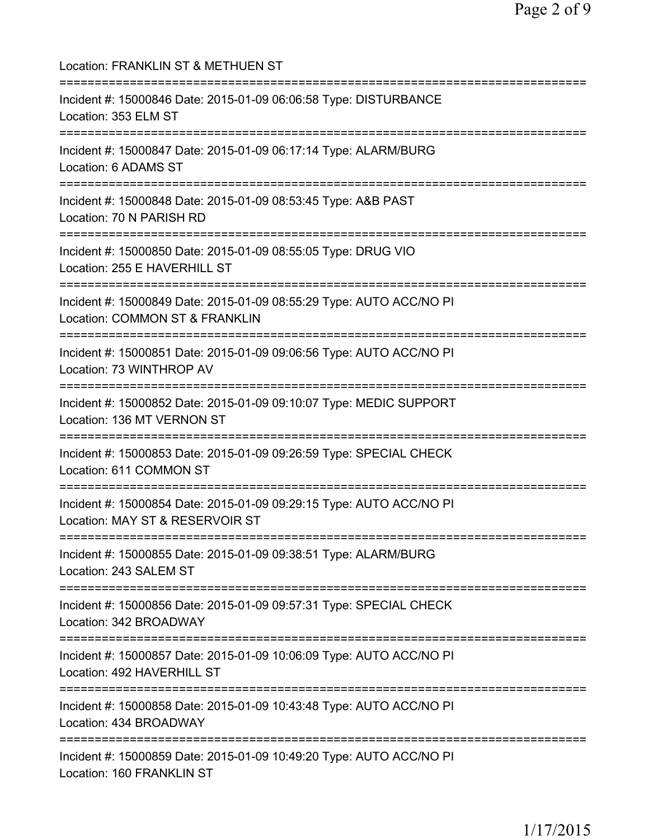Location: FRANKLIN ST & METHUEN ST =========================================================================== Incident #: 15000846 Date: 2015-01-09 06:06:58 Type: DISTURBANCE Location: 353 ELM ST =========================================================================== Incident #: 15000847 Date: 2015-01-09 06:17:14 Type: ALARM/BURG Location: 6 ADAMS ST =========================================================================== Incident #: 15000848 Date: 2015-01-09 08:53:45 Type: A&B PAST Location: 70 N PARISH RD =========================================================================== Incident #: 15000850 Date: 2015-01-09 08:55:05 Type: DRUG VIO Location: 255 E HAVERHILL ST =========================================================================== Incident #: 15000849 Date: 2015-01-09 08:55:29 Type: AUTO ACC/NO PI Location: COMMON ST & FRANKLIN =========================================================================== Incident #: 15000851 Date: 2015-01-09 09:06:56 Type: AUTO ACC/NO PI Location: 73 WINTHROP AV =========================================================================== Incident #: 15000852 Date: 2015-01-09 09:10:07 Type: MEDIC SUPPORT Location: 136 MT VERNON ST =========================================================================== Incident #: 15000853 Date: 2015-01-09 09:26:59 Type: SPECIAL CHECK Location: 611 COMMON ST =========================================================================== Incident #: 15000854 Date: 2015-01-09 09:29:15 Type: AUTO ACC/NO PI Location: MAY ST & RESERVOIR ST =========================================================================== Incident #: 15000855 Date: 2015-01-09 09:38:51 Type: ALARM/BURG Location: 243 SALEM ST =========================================================================== Incident #: 15000856 Date: 2015-01-09 09:57:31 Type: SPECIAL CHECK Location: 342 BROADWAY =========================================================================== Incident #: 15000857 Date: 2015-01-09 10:06:09 Type: AUTO ACC/NO PI Location: 492 HAVERHILL ST =========================================================================== Incident #: 15000858 Date: 2015-01-09 10:43:48 Type: AUTO ACC/NO PI Location: 434 BROADWAY =========================================================================== Incident #: 15000859 Date: 2015-01-09 10:49:20 Type: AUTO ACC/NO PI Location: 160 FRANKLIN ST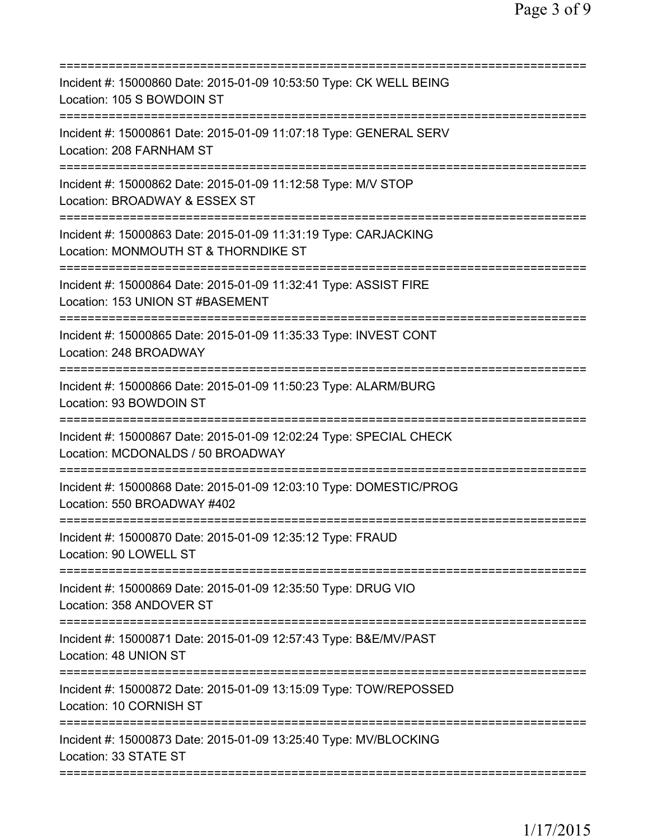| Incident #: 15000860 Date: 2015-01-09 10:53:50 Type: CK WELL BEING<br>Location: 105 S BOWDOIN ST                                                                           |
|----------------------------------------------------------------------------------------------------------------------------------------------------------------------------|
| Incident #: 15000861 Date: 2015-01-09 11:07:18 Type: GENERAL SERV<br>Location: 208 FARNHAM ST                                                                              |
| Incident #: 15000862 Date: 2015-01-09 11:12:58 Type: M/V STOP<br>Location: BROADWAY & ESSEX ST                                                                             |
| Incident #: 15000863 Date: 2015-01-09 11:31:19 Type: CARJACKING<br>Location: MONMOUTH ST & THORNDIKE ST                                                                    |
| Incident #: 15000864 Date: 2015-01-09 11:32:41 Type: ASSIST FIRE<br>Location: 153 UNION ST #BASEMENT                                                                       |
| Incident #: 15000865 Date: 2015-01-09 11:35:33 Type: INVEST CONT<br>Location: 248 BROADWAY                                                                                 |
| ======================================<br>Incident #: 15000866 Date: 2015-01-09 11:50:23 Type: ALARM/BURG<br>Location: 93 BOWDOIN ST<br>================================== |
| Incident #: 15000867 Date: 2015-01-09 12:02:24 Type: SPECIAL CHECK<br>Location: MCDONALDS / 50 BROADWAY                                                                    |
| Incident #: 15000868 Date: 2015-01-09 12:03:10 Type: DOMESTIC/PROG<br>Location: 550 BROADWAY #402                                                                          |
| Incident #: 15000870 Date: 2015-01-09 12:35:12 Type: FRAUD<br>Location: 90 LOWELL ST                                                                                       |
| Incident #: 15000869 Date: 2015-01-09 12:35:50 Type: DRUG VIO<br>Location: 358 ANDOVER ST                                                                                  |
| Incident #: 15000871 Date: 2015-01-09 12:57:43 Type: B&E/MV/PAST<br>Location: 48 UNION ST                                                                                  |
| Incident #: 15000872 Date: 2015-01-09 13:15:09 Type: TOW/REPOSSED<br>Location: 10 CORNISH ST                                                                               |
| Incident #: 15000873 Date: 2015-01-09 13:25:40 Type: MV/BLOCKING<br>Location: 33 STATE ST                                                                                  |
|                                                                                                                                                                            |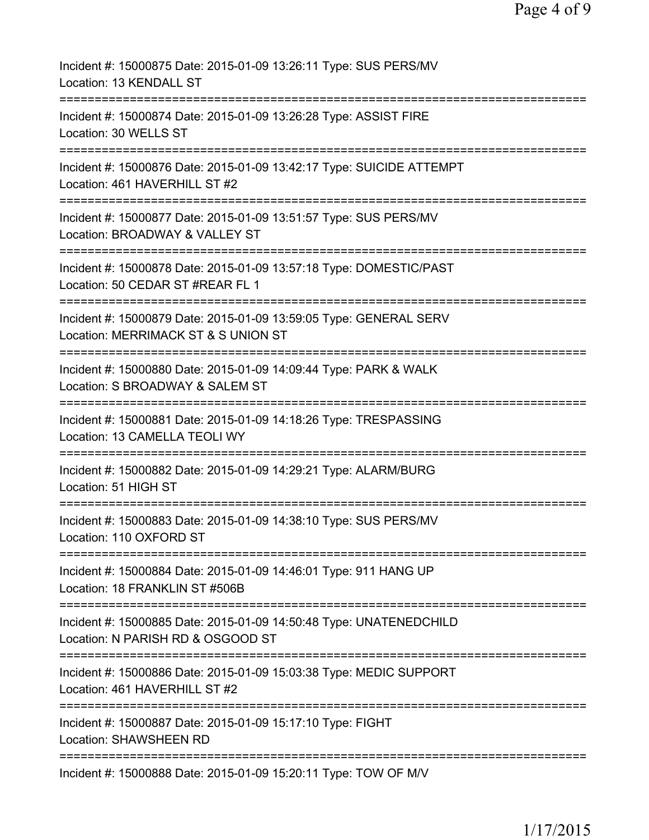| Incident #: 15000875 Date: 2015-01-09 13:26:11 Type: SUS PERS/MV<br>Location: 13 KENDALL ST                                            |
|----------------------------------------------------------------------------------------------------------------------------------------|
| Incident #: 15000874 Date: 2015-01-09 13:26:28 Type: ASSIST FIRE<br>Location: 30 WELLS ST                                              |
| Incident #: 15000876 Date: 2015-01-09 13:42:17 Type: SUICIDE ATTEMPT<br>Location: 461 HAVERHILL ST #2                                  |
| Incident #: 15000877 Date: 2015-01-09 13:51:57 Type: SUS PERS/MV<br>Location: BROADWAY & VALLEY ST                                     |
| Incident #: 15000878 Date: 2015-01-09 13:57:18 Type: DOMESTIC/PAST<br>Location: 50 CEDAR ST #REAR FL 1                                 |
| ==========================<br>Incident #: 15000879 Date: 2015-01-09 13:59:05 Type: GENERAL SERV<br>Location: MERRIMACK ST & S UNION ST |
| Incident #: 15000880 Date: 2015-01-09 14:09:44 Type: PARK & WALK<br>Location: S BROADWAY & SALEM ST                                    |
| Incident #: 15000881 Date: 2015-01-09 14:18:26 Type: TRESPASSING<br>Location: 13 CAMELLA TEOLI WY                                      |
| Incident #: 15000882 Date: 2015-01-09 14:29:21 Type: ALARM/BURG<br>Location: 51 HIGH ST                                                |
| Incident #: 15000883 Date: 2015-01-09 14:38:10 Type: SUS PERS/MV<br>Location: 110 OXFORD ST                                            |
| Incident #: 15000884 Date: 2015-01-09 14:46:01 Type: 911 HANG UP<br>Location: 18 FRANKLIN ST #506B                                     |
| Incident #: 15000885 Date: 2015-01-09 14:50:48 Type: UNATENEDCHILD<br>Location: N PARISH RD & OSGOOD ST                                |
| Incident #: 15000886 Date: 2015-01-09 15:03:38 Type: MEDIC SUPPORT<br>Location: 461 HAVERHILL ST #2                                    |
| Incident #: 15000887 Date: 2015-01-09 15:17:10 Type: FIGHT<br><b>Location: SHAWSHEEN RD</b>                                            |
| Incident #: 15000888 Date: 2015-01-09 15:20:11 Type: TOW OF M/V                                                                        |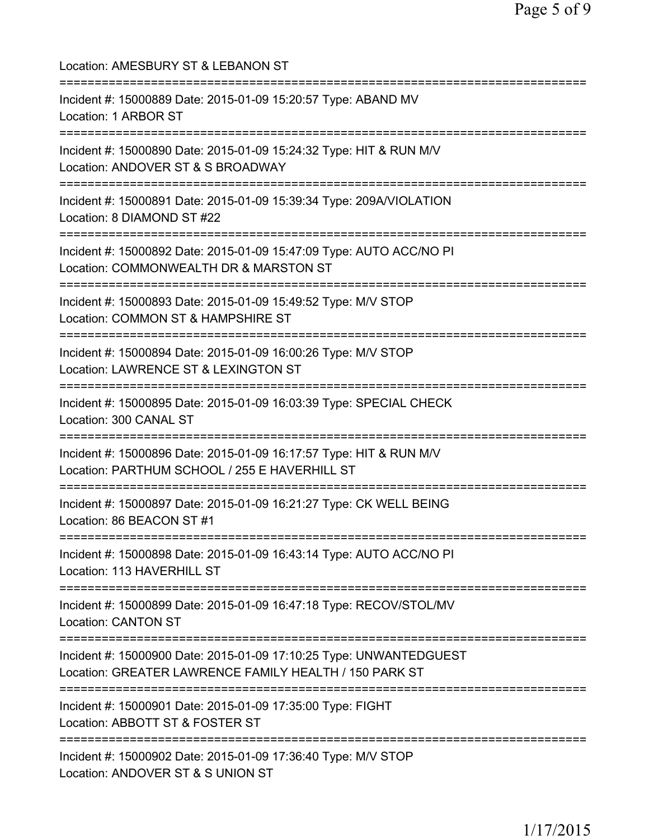| Location: AMESBURY ST & LEBANON ST                                                                                                |
|-----------------------------------------------------------------------------------------------------------------------------------|
| Incident #: 15000889 Date: 2015-01-09 15:20:57 Type: ABAND MV<br>Location: 1 ARBOR ST                                             |
| Incident #: 15000890 Date: 2015-01-09 15:24:32 Type: HIT & RUN M/V<br>Location: ANDOVER ST & S BROADWAY                           |
| Incident #: 15000891 Date: 2015-01-09 15:39:34 Type: 209A/VIOLATION<br>Location: 8 DIAMOND ST #22<br>============================ |
| Incident #: 15000892 Date: 2015-01-09 15:47:09 Type: AUTO ACC/NO PI<br>Location: COMMONWEALTH DR & MARSTON ST                     |
| Incident #: 15000893 Date: 2015-01-09 15:49:52 Type: M/V STOP<br>Location: COMMON ST & HAMPSHIRE ST                               |
| Incident #: 15000894 Date: 2015-01-09 16:00:26 Type: M/V STOP<br>Location: LAWRENCE ST & LEXINGTON ST                             |
| Incident #: 15000895 Date: 2015-01-09 16:03:39 Type: SPECIAL CHECK<br>Location: 300 CANAL ST                                      |
| Incident #: 15000896 Date: 2015-01-09 16:17:57 Type: HIT & RUN M/V<br>Location: PARTHUM SCHOOL / 255 E HAVERHILL ST               |
| Incident #: 15000897 Date: 2015-01-09 16:21:27 Type: CK WELL BEING<br>Location: 86 BEACON ST #1                                   |
| Incident #: 15000898 Date: 2015-01-09 16:43:14 Type: AUTO ACC/NO PI<br>Location: 113 HAVERHILL ST                                 |
| Incident #: 15000899 Date: 2015-01-09 16:47:18 Type: RECOV/STOL/MV<br><b>Location: CANTON ST</b>                                  |
| Incident #: 15000900 Date: 2015-01-09 17:10:25 Type: UNWANTEDGUEST<br>Location: GREATER LAWRENCE FAMILY HEALTH / 150 PARK ST      |
| ========================<br>Incident #: 15000901 Date: 2015-01-09 17:35:00 Type: FIGHT<br>Location: ABBOTT ST & FOSTER ST         |
| Incident #: 15000902 Date: 2015-01-09 17:36:40 Type: M/V STOP<br>Location: ANDOVER ST & S UNION ST                                |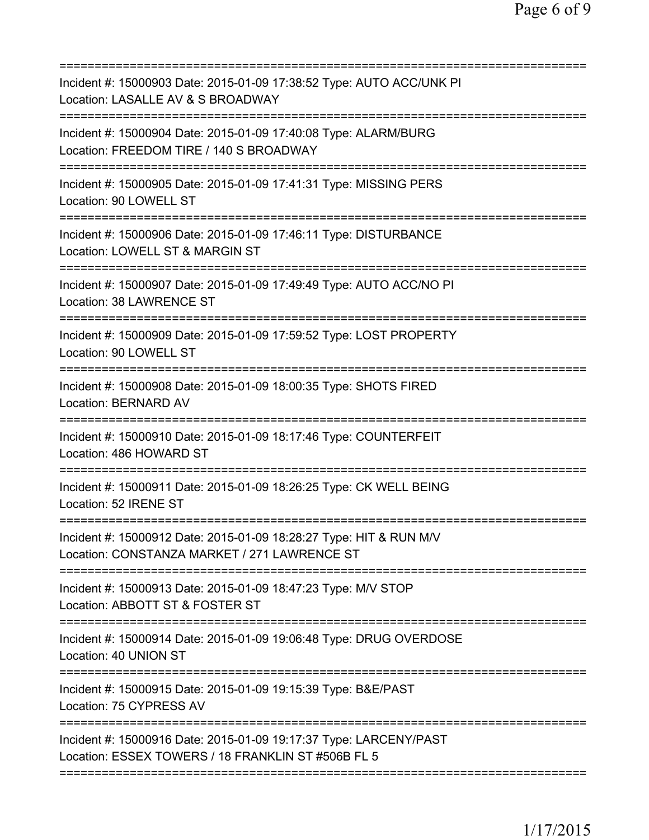| Incident #: 15000903 Date: 2015-01-09 17:38:52 Type: AUTO ACC/UNK PI<br>Location: LASALLE AV & S BROADWAY                                 |
|-------------------------------------------------------------------------------------------------------------------------------------------|
| Incident #: 15000904 Date: 2015-01-09 17:40:08 Type: ALARM/BURG<br>Location: FREEDOM TIRE / 140 S BROADWAY<br>=========================== |
| Incident #: 15000905 Date: 2015-01-09 17:41:31 Type: MISSING PERS<br>Location: 90 LOWELL ST                                               |
| Incident #: 15000906 Date: 2015-01-09 17:46:11 Type: DISTURBANCE<br>Location: LOWELL ST & MARGIN ST                                       |
| Incident #: 15000907 Date: 2015-01-09 17:49:49 Type: AUTO ACC/NO PI<br>Location: 38 LAWRENCE ST                                           |
| Incident #: 15000909 Date: 2015-01-09 17:59:52 Type: LOST PROPERTY<br>Location: 90 LOWELL ST                                              |
| Incident #: 15000908 Date: 2015-01-09 18:00:35 Type: SHOTS FIRED<br><b>Location: BERNARD AV</b>                                           |
| Incident #: 15000910 Date: 2015-01-09 18:17:46 Type: COUNTERFEIT<br>Location: 486 HOWARD ST                                               |
| Incident #: 15000911 Date: 2015-01-09 18:26:25 Type: CK WELL BEING<br>Location: 52 IRENE ST                                               |
| Incident #: 15000912 Date: 2015-01-09 18:28:27 Type: HIT & RUN M/V<br>Location: CONSTANZA MARKET / 271 LAWRENCE ST                        |
| Incident #: 15000913 Date: 2015-01-09 18:47:23 Type: M/V STOP<br>Location: ABBOTT ST & FOSTER ST                                          |
| Incident #: 15000914 Date: 2015-01-09 19:06:48 Type: DRUG OVERDOSE<br>Location: 40 UNION ST                                               |
| Incident #: 15000915 Date: 2015-01-09 19:15:39 Type: B&E/PAST<br>Location: 75 CYPRESS AV                                                  |
| Incident #: 15000916 Date: 2015-01-09 19:17:37 Type: LARCENY/PAST<br>Location: ESSEX TOWERS / 18 FRANKLIN ST #506B FL 5                   |
|                                                                                                                                           |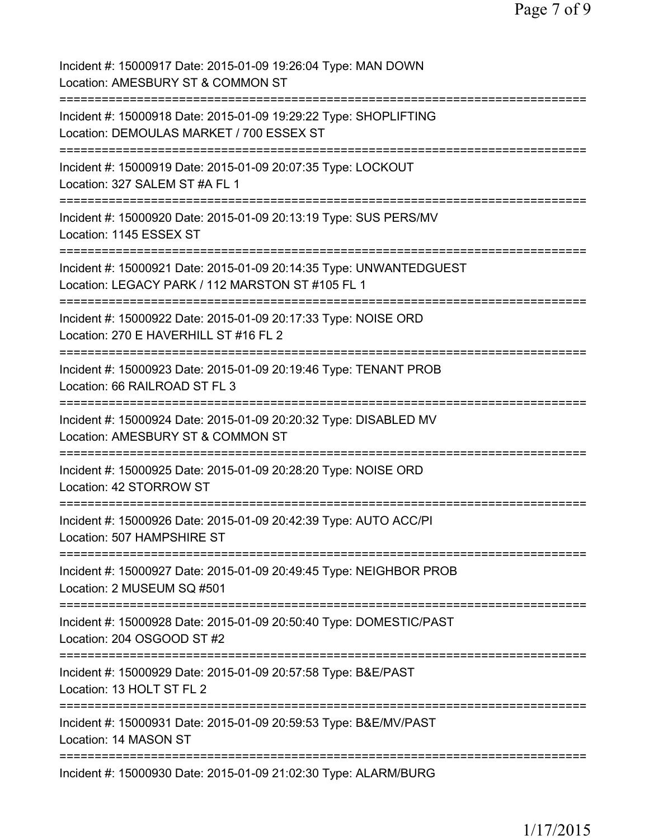| Incident #: 15000917 Date: 2015-01-09 19:26:04 Type: MAN DOWN<br>Location: AMESBURY ST & COMMON ST                                  |
|-------------------------------------------------------------------------------------------------------------------------------------|
| Incident #: 15000918 Date: 2015-01-09 19:29:22 Type: SHOPLIFTING<br>Location: DEMOULAS MARKET / 700 ESSEX ST                        |
| Incident #: 15000919 Date: 2015-01-09 20:07:35 Type: LOCKOUT<br>Location: 327 SALEM ST #A FL 1                                      |
| Incident #: 15000920 Date: 2015-01-09 20:13:19 Type: SUS PERS/MV<br>Location: 1145 ESSEX ST                                         |
| Incident #: 15000921 Date: 2015-01-09 20:14:35 Type: UNWANTEDGUEST<br>Location: LEGACY PARK / 112 MARSTON ST #105 FL 1              |
| Incident #: 15000922 Date: 2015-01-09 20:17:33 Type: NOISE ORD<br>Location: 270 E HAVERHILL ST #16 FL 2                             |
| Incident #: 15000923 Date: 2015-01-09 20:19:46 Type: TENANT PROB<br>Location: 66 RAILROAD ST FL 3                                   |
| Incident #: 15000924 Date: 2015-01-09 20:20:32 Type: DISABLED MV<br>Location: AMESBURY ST & COMMON ST                               |
| Incident #: 15000925 Date: 2015-01-09 20:28:20 Type: NOISE ORD<br>Location: 42 STORROW ST                                           |
| Incident #: 15000926 Date: 2015-01-09 20:42:39 Type: AUTO ACC/PI<br>Location: 507 HAMPSHIRE ST                                      |
| =======================<br>Incident #: 15000927 Date: 2015-01-09 20:49:45 Type: NEIGHBOR PROB<br>Location: 2 MUSEUM SQ #501         |
| ===============================<br>Incident #: 15000928 Date: 2015-01-09 20:50:40 Type: DOMESTIC/PAST<br>Location: 204 OSGOOD ST #2 |
| Incident #: 15000929 Date: 2015-01-09 20:57:58 Type: B&E/PAST<br>Location: 13 HOLT ST FL 2                                          |
| Incident #: 15000931 Date: 2015-01-09 20:59:53 Type: B&E/MV/PAST<br>Location: 14 MASON ST                                           |
| Incident #: 15000930 Date: 2015-01-09 21:02:30 Type: ALARM/BURG                                                                     |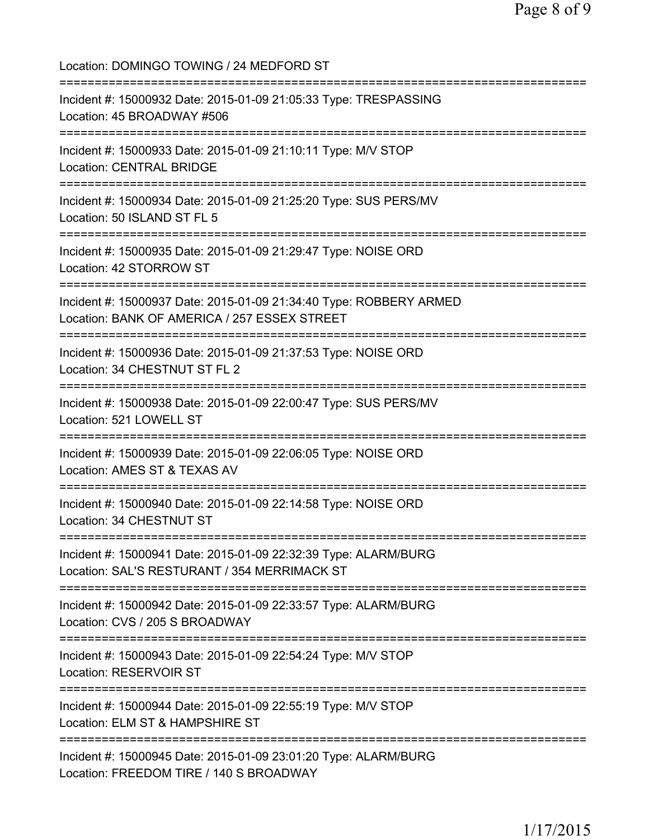Location: DOMINGO TOWING / 24 MEDFORD ST =========================================================================== Incident #: 15000932 Date: 2015-01-09 21:05:33 Type: TRESPASSING Location: 45 BROADWAY #506 =========================================================================== Incident #: 15000933 Date: 2015-01-09 21:10:11 Type: M/V STOP Location: CENTRAL BRIDGE =========================================================================== Incident #: 15000934 Date: 2015-01-09 21:25:20 Type: SUS PERS/MV Location: 50 ISLAND ST FL 5 =========================================================================== Incident #: 15000935 Date: 2015-01-09 21:29:47 Type: NOISE ORD Location: 42 STORROW ST =========================================================================== Incident #: 15000937 Date: 2015-01-09 21:34:40 Type: ROBBERY ARMED Location: BANK OF AMERICA / 257 ESSEX STREET =========================================================================== Incident #: 15000936 Date: 2015-01-09 21:37:53 Type: NOISE ORD Location: 34 CHESTNUT ST FL 2 =========================================================================== Incident #: 15000938 Date: 2015-01-09 22:00:47 Type: SUS PERS/MV Location: 521 LOWELL ST =========================================================================== Incident #: 15000939 Date: 2015-01-09 22:06:05 Type: NOISE ORD Location: AMES ST & TEXAS AV =========================================================================== Incident #: 15000940 Date: 2015-01-09 22:14:58 Type: NOISE ORD Location: 34 CHESTNUT ST =========================================================================== Incident #: 15000941 Date: 2015-01-09 22:32:39 Type: ALARM/BURG Location: SAL'S RESTURANT / 354 MERRIMACK ST =========================================================================== Incident #: 15000942 Date: 2015-01-09 22:33:57 Type: ALARM/BURG Location: CVS / 205 S BROADWAY =========================================================================== Incident #: 15000943 Date: 2015-01-09 22:54:24 Type: M/V STOP Location: RESERVOIR ST =========================================================================== Incident #: 15000944 Date: 2015-01-09 22:55:19 Type: M/V STOP Location: ELM ST & HAMPSHIRE ST =========================================================================== Incident #: 15000945 Date: 2015-01-09 23:01:20 Type: ALARM/BURG Location: FREEDOM TIRE / 140 S BROADWAY